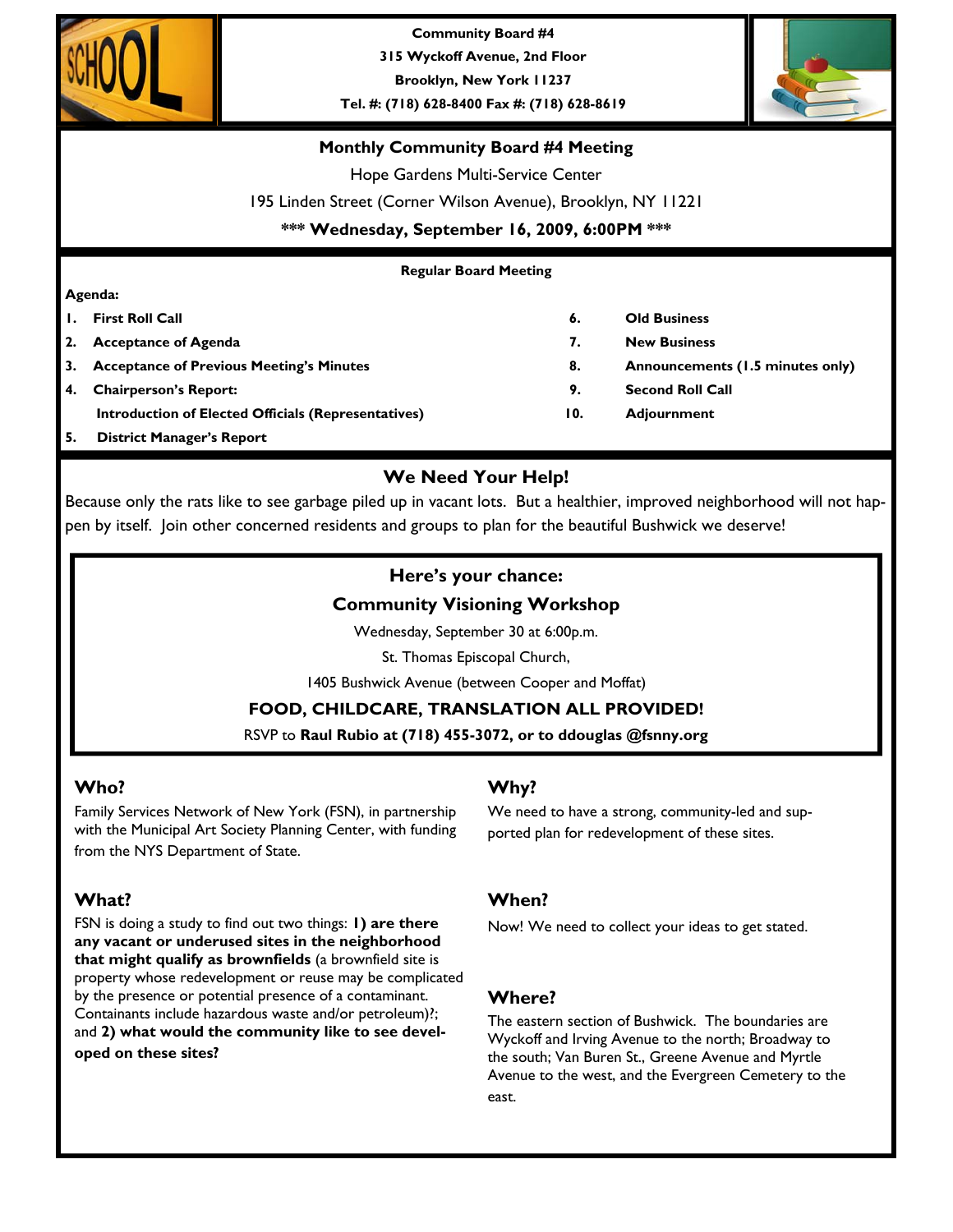

**Community Board #4 315 Wyckoff Avenue, 2nd Floor** 

**Brooklyn, New York 11237** 

**Tel. #: (718) 628-8400 Fax #: (718) 628-8619** 



## **Monthly Community Board #4 Meeting**

Hope Gardens Multi-Service Center

195 Linden Street (Corner Wilson Avenue), Brooklyn, NY 11221

**\*\*\* Wednesday, September 16, 2009, 6:00PM \*\*\*** 

## **Regular Board Meeting**

### **Agenda:**

- 
- **2. Acceptance of Agenda 7. New Business**
- **3.** Acceptance of Previous Meeting's Minutes **8.** Announcements (1.5 minutes only)
- **4. Chairperson's Report: 9. Second Roll Call Introduction of Elected Officials (Representatives) 10. Adjournment**
- **5. District Manager's Report**

# **We Need Your Help!**

Because only the rats like to see garbage piled up in vacant lots. But a healthier, improved neighborhood will not happen by itself. Join other concerned residents and groups to plan for the beautiful Bushwick we deserve!

# **Here's your chance:**

## **Community Visioning Workshop**

Wednesday, September 30 at 6:00p.m.

St. Thomas Episcopal Church,

1405 Bushwick Avenue (between Cooper and Moffat)

**FOOD, CHILDCARE, TRANSLATION ALL PROVIDED!** 

RSVP to **Raul Rubio at (718) 455-3072, or to ddouglas @fsnny.org**

# **Who?**

Family Services Network of New York (FSN), in partnership with the Municipal Art Society Planning Center, with funding from the NYS Department of State.

# **What?**

FSN is doing a study to find out two things: **1) are there any vacant or underused sites in the neighborhood that might qualify as brownfields** (a brownfield site is property whose redevelopment or reuse may be complicated by the presence or potential presence of a contaminant. Containants include hazardous waste and/or petroleum)?; and **2) what would the community like to see developed on these sites?** 

# **Why?**

We need to have a strong, community-led and supported plan for redevelopment of these sites.

# **When?**

Now! We need to collect your ideas to get stated.

# **Where?**

The eastern section of Bushwick. The boundaries are Wyckoff and Irving Avenue to the north; Broadway to the south; Van Buren St., Greene Avenue and Myrtle Avenue to the west, and the Evergreen Cemetery to the east.

- **1. First Roll Call 6. Old Business** 
	-
	-
	-
	-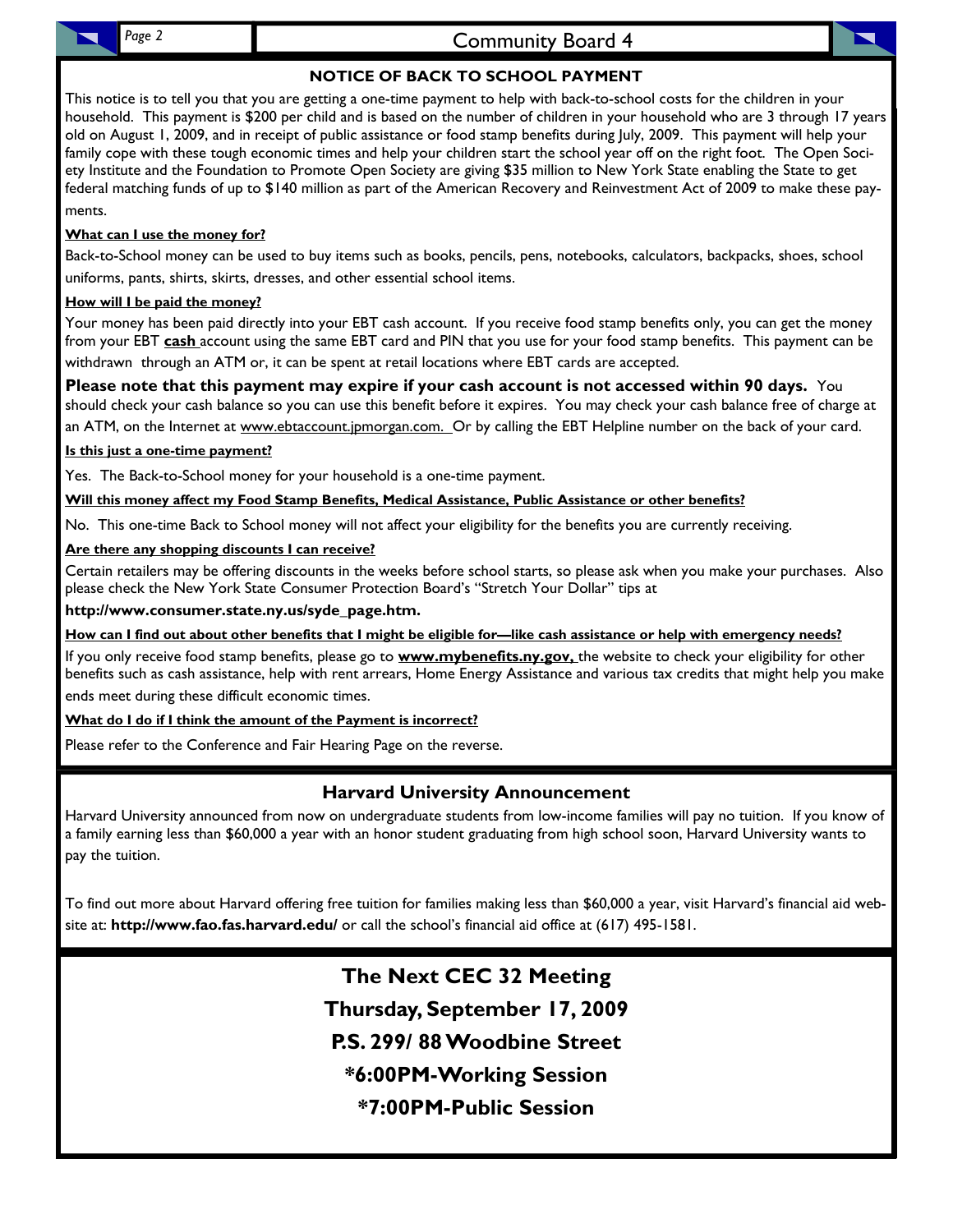# Page 2 **Community Board 4**

# **NOTICE OF BACK TO SCHOOL PAYMENT**

This notice is to tell you that you are getting a one-time payment to help with back-to-school costs for the children in your household. This payment is \$200 per child and is based on the number of children in your household who are 3 through 17 years old on August 1, 2009, and in receipt of public assistance or food stamp benefits during July, 2009. This payment will help your family cope with these tough economic times and help your children start the school year off on the right foot. The Open Society Institute and the Foundation to Promote Open Society are giving \$35 million to New York State enabling the State to get federal matching funds of up to \$140 million as part of the American Recovery and Reinvestment Act of 2009 to make these payments.

## **What can I use the money for?**

Back-to-School money can be used to buy items such as books, pencils, pens, notebooks, calculators, backpacks, shoes, school uniforms, pants, shirts, skirts, dresses, and other essential school items.

## **How will I be paid the money?**

Your money has been paid directly into your EBT cash account. If you receive food stamp benefits only, you can get the money from your EBT **cash** account using the same EBT card and PIN that you use for your food stamp benefits. This payment can be withdrawn through an ATM or, it can be spent at retail locations where EBT cards are accepted.

**Please note that this payment may expire if your cash account is not accessed within 90 days.** You should check your cash balance so you can use this benefit before it expires. You may check your cash balance free of charge at an ATM, on the Internet at www.ebtaccount.jpmorgan.com. Or by calling the EBT Helpline number on the back of your card.

## **Is this just a one-time payment?**

Yes. The Back-to-School money for your household is a one-time payment.

**Will this money affect my Food Stamp Benefits, Medical Assistance, Public Assistance or other benefits?**

No. This one-time Back to School money will not affect your eligibility for the benefits you are currently receiving.

## **Are there any shopping discounts I can receive?**

Certain retailers may be offering discounts in the weeks before school starts, so please ask when you make your purchases. Also please check the New York State Consumer Protection Board's "Stretch Your Dollar" tips at

### **http://www.consumer.state.ny.us/syde\_page.htm.**

## **How can I find out about other benefits that I might be eligible for—like cash assistance or help with emergency needs?**

If you only receive food stamp benefits, please go to **www.mybenefits.ny.gov,** the website to check your eligibility for other benefits such as cash assistance, help with rent arrears, Home Energy Assistance and various tax credits that might help you make ends meet during these difficult economic times.

## **What do I do if I think the amount of the Payment is incorrect?**

Please refer to the Conference and Fair Hearing Page on the reverse.

# **Harvard University Announcement**

Harvard University announced from now on undergraduate students from low-income families will pay no tuition. If you know of a family earning less than \$60,000 a year with an honor student graduating from high school soon, Harvard University wants to pay the tuition.

To find out more about Harvard offering free tuition for families making less than \$60,000 a year, visit Harvard's financial aid website at: **http://www.fao.fas.harvard.edu/** or call the school's financial aid office at (617) 495-1581.

> **The Next CEC 32 Meeting Thursday, September 17, 2009 P.S. 299/ 88 Woodbine Street \*6:00PM-Working Session \*7:00PM-Public Session**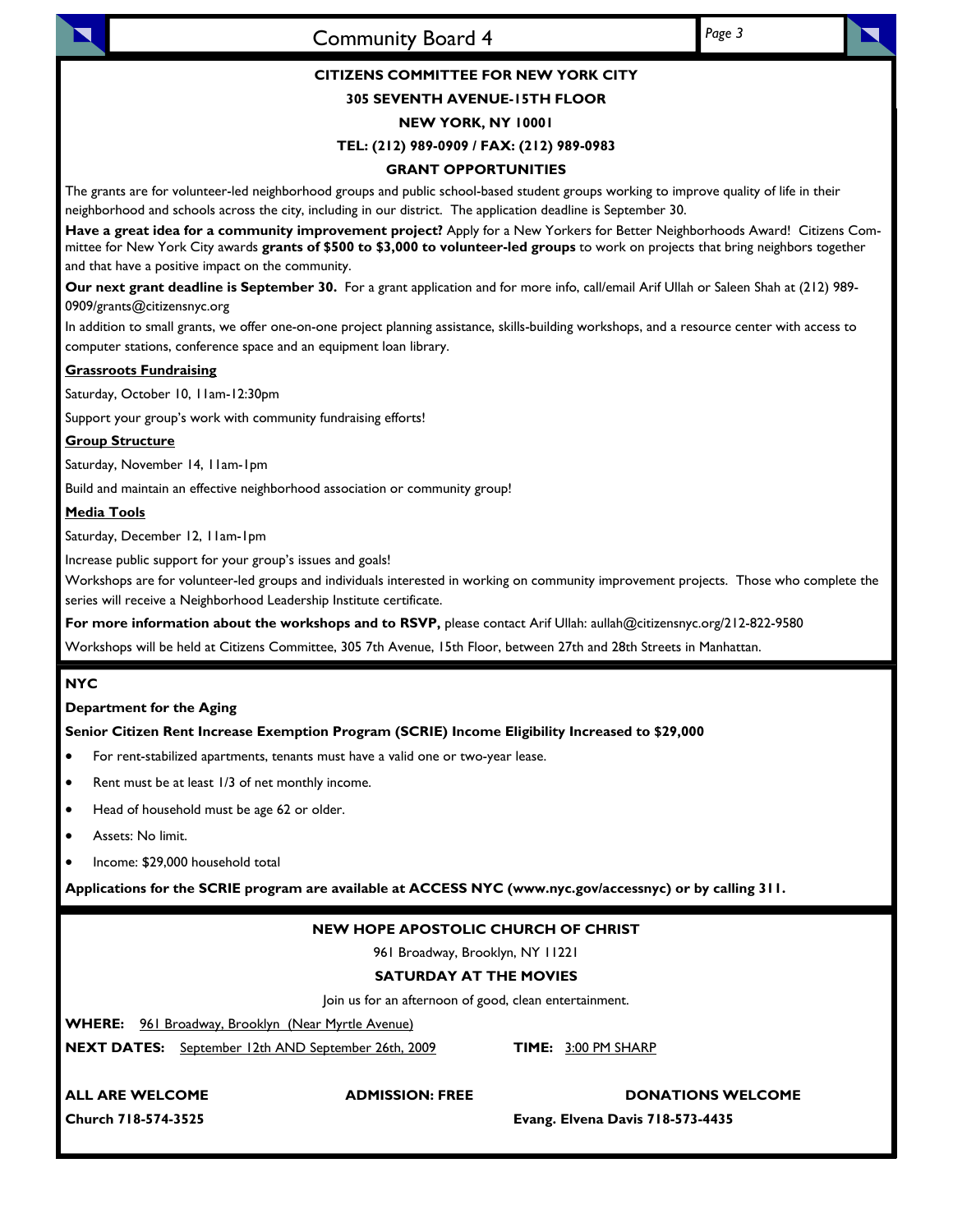

# Community Board 4 *Page 3*

### **CITIZENS COMMITTEE FOR NEW YORK CITY**

### **305 SEVENTH AVENUE-15TH FLOOR**

### **NEW YORK, NY 10001**

#### **TEL: (212) 989-0909 / FAX: (212) 989-0983**

#### **GRANT OPPORTUNITIES**

The grants are for volunteer-led neighborhood groups and public school-based student groups working to improve quality of life in their neighborhood and schools across the city, including in our district. The application deadline is September 30.

**Have a great idea for a community improvement project?** Apply for a New Yorkers for Better Neighborhoods Award! Citizens Committee for New York City awards **grants of \$500 to \$3,000 to volunteer-led groups** to work on projects that bring neighbors together and that have a positive impact on the community.

**Our next grant deadline is September 30.** For a grant application and for more info, call/email Arif Ullah or Saleen Shah at (212) 989- 0909/grants@citizensnyc.org

In addition to small grants, we offer one-on-one project planning assistance, skills-building workshops, and a resource center with access to computer stations, conference space and an equipment loan library.

### **Grassroots Fundraising**

Saturday, October 10, 11am-12:30pm

Support your group's work with community fundraising efforts!

### **Group Structure**

Saturday, November 14, 11am-1pm

Build and maintain an effective neighborhood association or community group!

### **Media Tools**

Saturday, December 12, 11am-1pm

Increase public support for your group's issues and goals!

Workshops are for volunteer-led groups and individuals interested in working on community improvement projects. Those who complete the series will receive a Neighborhood Leadership Institute certificate.

**For more information about the workshops and to RSVP,** please contact Arif Ullah: aullah@citizensnyc.org/212-822-9580

Workshops will be held at Citizens Committee, 305 7th Avenue, 15th Floor, between 27th and 28th Streets in Manhattan.

### **NYC**

### **Department for the Aging**

### **Senior Citizen Rent Increase Exemption Program (SCRIE) Income Eligibility Increased to \$29,000**

- For rent-stabilized apartments, tenants must have a valid one or two-year lease.
- Rent must be at least 1/3 of net monthly income.
- Head of household must be age 62 or older.
- Assets: No limit.
- Income: \$29,000 household total

**Applications for the SCRIE program are available at ACCESS NYC (www.nyc.gov/accessnyc) or by calling 311.** 

### **NEW HOPE APOSTOLIC CHURCH OF CHRIST**

961 Broadway, Brooklyn, NY 11221

### **SATURDAY AT THE MOVIES**

Join us for an afternoon of good, clean entertainment.

**WHERE:** 961 Broadway, Brooklyn (Near Myrtle Avenue)

**NEXT DATES:** September 12th AND September 26th, 2009 **TIME:** 3:00 PM SHARP

ALL ARE WELCOME **ADMISSION: FREE** DONATIONS WELCOME

**Church 718-574-3525 Evang. Elvena Davis 718-573-4435**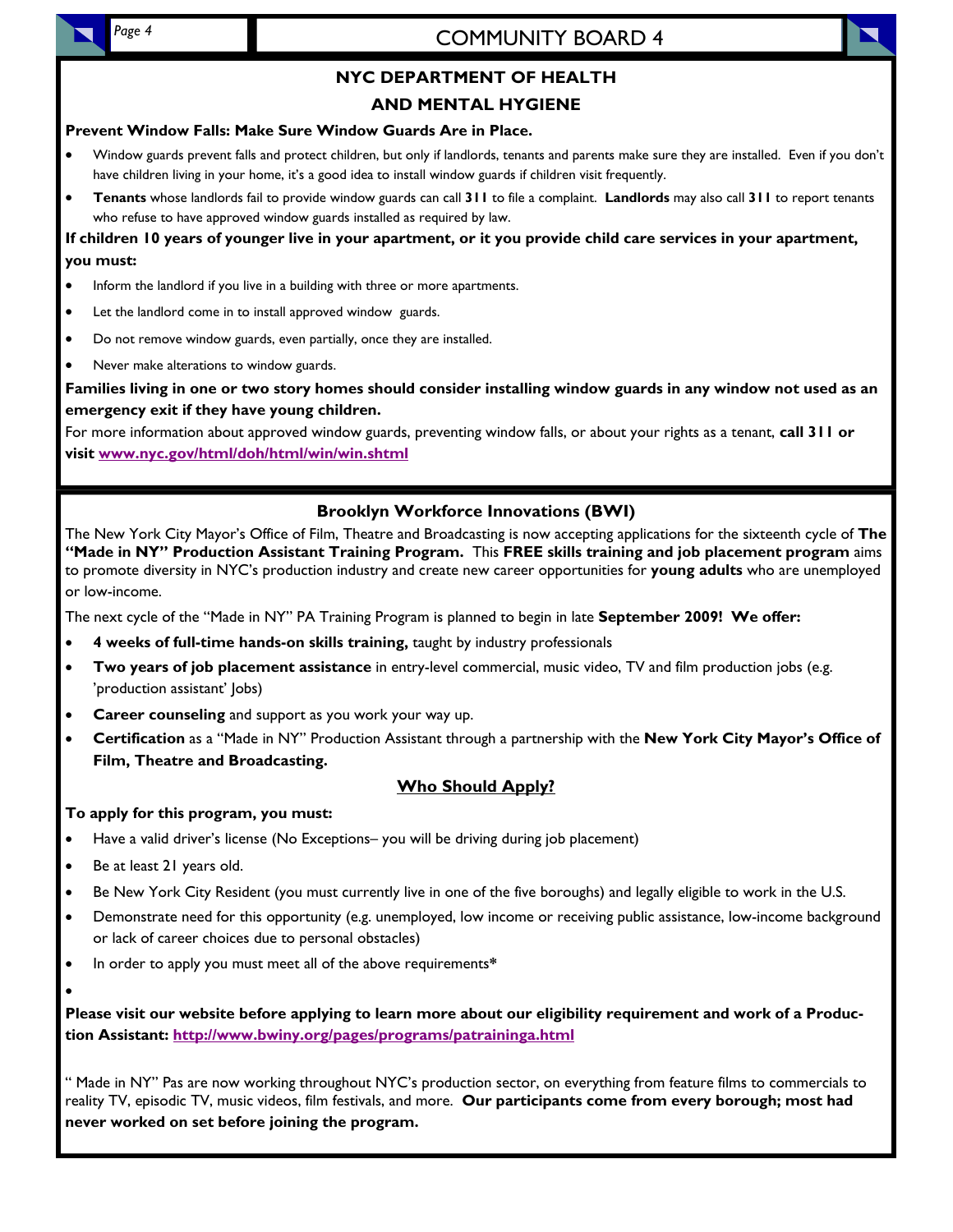# COMMUNITY BOARD 4

# **NYC DEPARTMENT OF HEALTH**

## **AND MENTAL HYGIENE**

### **Prevent Window Falls: Make Sure Window Guards Are in Place.**

- Window guards prevent falls and protect children, but only if landlords, tenants and parents make sure they are installed. Even if you don't have children living in your home, it's a good idea to install window guards if children visit frequently.
- **Tenants** whose landlords fail to provide window guards can call **311** to file a complaint. **Landlords** may also call **311** to report tenants who refuse to have approved window guards installed as required by law.

## **If children 10 years of younger live in your apartment, or it you provide child care services in your apartment, you must:**

- Inform the landlord if you live in a building with three or more apartments.
- Let the landlord come in to install approved window guards.
- Do not remove window guards, even partially, once they are installed.
- Never make alterations to window guards.

**Families living in one or two story homes should consider installing window guards in any window not used as an emergency exit if they have young children.** 

For more information about approved window guards, preventing window falls, or about your rights as a tenant, **call 311 or visit www.nyc.gov/html/doh/html/win/win.shtml**

## **Brooklyn Workforce Innovations (BWI)**

The New York City Mayor's Office of Film, Theatre and Broadcasting is now accepting applications for the sixteenth cycle of **The "Made in NY" Production Assistant Training Program.** This **FREE skills training and job placement program** aims to promote diversity in NYC's production industry and create new career opportunities for **young adults** who are unemployed or low-income.

The next cycle of the "Made in NY" PA Training Program is planned to begin in late **September 2009! We offer:** 

- **4 weeks of full-time hands-on skills training,** taught by industry professionals
- **Two years of job placement assistance** in entry-level commercial, music video, TV and film production jobs (e.g. 'production assistant' Jobs)
- **Career counseling** and support as you work your way up.
- **Certification** as a "Made in NY" Production Assistant through a partnership with the **New York City Mayor's Office of Film, Theatre and Broadcasting.**

### **Who Should Apply?**

### **To apply for this program, you must:**

- Have a valid driver's license (No Exceptions– you will be driving during job placement)
- Be at least 21 years old.

•

- Be New York City Resident (you must currently live in one of the five boroughs) and legally eligible to work in the U.S.
- Demonstrate need for this opportunity (e.g. unemployed, low income or receiving public assistance, low-income background or lack of career choices due to personal obstacles)
- In order to apply you must meet all of the above requirements**\***

**Please visit our website before applying to learn more about our eligibility requirement and work of a Production Assistant: http://www.bwiny.org/pages/programs/patraininga.html**

" Made in NY" Pas are now working throughout NYC's production sector, on everything from feature films to commercials to reality TV, episodic TV, music videos, film festivals, and more. **Our participants come from every borough; most had never worked on set before joining the program.** 

*Page 4*